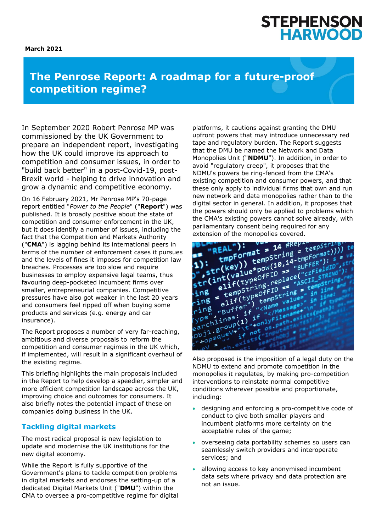#### **March 2021**



# **The Penrose Report: A roadmap for a future-proof competition regime?**

In September 2020 Robert Penrose MP was commissioned by the UK Government to prepare an independent report, investigating how the UK could improve its approach to competition and consumer issues, in order to "build back better" in a post-Covid-19, post-Brexit world - helping to drive innovation and grow a dynamic and competitive economy.

On 16 February 2021, Mr Penrose MP's 70-page report entitled "*Power to the People*" ("**Report**") was published. It is broadly positive about the state of competition and consumer enforcement in the UK, but it does identify a number of issues, including the fact that the Competition and Markets Authority ("**CMA**") is lagging behind its international peers in terms of the number of enforcement cases it pursues and the levels of fines it imposes for competition law breaches. Processes are too slow and require businesses to employ expensive legal teams, thus favouring deep-pocketed incumbent firms over smaller, entrepreneurial companies. Competitive pressures have also got weaker in the last 20 years and consumers feel ripped off when buying some products and services (e.g. energy and car insurance).

The Report proposes a number of very far-reaching, ambitious and diverse proposals to reform the competition and consumer regimes in the UK which, if implemented, will result in a significant overhaul of the existing regime.

This briefing highlights the main proposals included in the Report to help develop a speedier, simpler and more efficient competition landscape across the UK, improving choice and outcomes for consumers. It also briefly notes the potential impact of these on companies doing business in the UK.

## **Tackling digital markets**

The most radical proposal is new legislation to update and modernise the UK institutions for the new digital economy.

While the Report is fully supportive of the Government's plans to tackle competition problems in digital markets and endorses the setting-up of a dedicated Digital Markets Unit ("**DMU**") within the CMA to oversee a pro-competitive regime for digital

platforms, it cautions against granting the DMU upfront powers that may introduce unnecessary red tape and regulatory burden. The Report suggests that the DMU be named the Network and Data Monopolies Unit ("**NDMU**"). In addition, in order to avoid "regulatory creep", it proposes that the NDMU's powers be ring-fenced from the CMA's existing competition and consumer powers, and that these only apply to individual firms that own and run new network and data monopolies rather than to the digital sector in general. In addition, it proposes that the powers should only be applied to problems which the CMA's existing powers cannot solve already, with parliamentary consent being required for any extension of the monopolies covered.



Also proposed is the imposition of a legal duty on the NDMU to extend and promote competition in the monopolies it regulates, by making pro-competition interventions to reinstate normal competitive conditions wherever possible and proportionate, including:

- designing and enforcing a pro-competitive code of conduct to give both smaller players and incumbent platforms more certainty on the acceptable rules of the game;
- overseeing data portability schemes so users can seamlessly switch providers and interoperate services; and
- allowing access to key anonymised incumbent data sets where privacy and data protection are not an issue.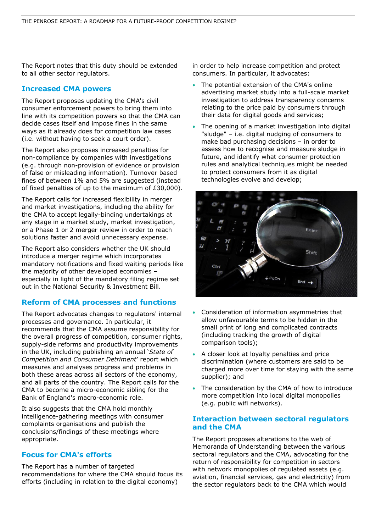The Report notes that this duty should be extended to all other sector regulators.

## **Increased CMA powers**

The Report proposes updating the CMA's civil consumer enforcement powers to bring them into line with its competition powers so that the CMA can decide cases itself and impose fines in the same ways as it already does for competition law cases (i.e. without having to seek a court order).

The Report also proposes increased penalties for non-compliance by companies with investigations (e.g. through non-provision of evidence or provision of false or misleading information). Turnover based fines of between 1% and 5% are suggested (instead of fixed penalties of up to the maximum of £30,000).

The Report calls for increased flexibility in merger and market investigations, including the ability for the CMA to accept legally-binding undertakings at any stage in a market study, market investigation, or a Phase 1 or 2 merger review in order to reach solutions faster and avoid unnecessary expense.

The Report also considers whether the UK should introduce a merger regime which incorporates mandatory notifications and fixed waiting periods like the majority of other developed economies – especially in light of the mandatory filing regime set out in the National Security & Investment Bill.

## **Reform of CMA processes and functions**

The Report advocates changes to regulators' internal processes and governance. In particular, it recommends that the CMA assume responsibility for the overall progress of competition, consumer rights, supply-side reforms and productivity improvements in the UK, including publishing an annual '*State of Competition and Consumer Detriment*' report which measures and analyses progress and problems in both these areas across all sectors of the economy, and all parts of the country. The Report calls for the CMA to become a micro-economic sibling for the Bank of England's macro-economic role.

It also suggests that the CMA hold monthly intelligence-gathering meetings with consumer complaints organisations and publish the conclusions/findings of these meetings where appropriate.

## **Focus for CMA's efforts**

The Report has a number of targeted recommendations for where the CMA should focus its efforts (including in relation to the digital economy)

in order to help increase competition and protect consumers. In particular, it advocates:

- The potential extension of the CMA's online advertising market study into a full-scale market investigation to address transparency concerns relating to the price paid by consumers through their data for digital goods and services;
- The opening of a market investigation into digital "sludge" – i.e. digital nudging of consumers to make bad purchasing decisions – in order to assess how to recognise and measure sludge in future, and identify what consumer protection rules and analytical techniques might be needed to protect consumers from it as digital technologies evolve and develop;



- Consideration of information asymmetries that allow unfavourable terms to be hidden in the small print of long and complicated contracts (including tracking the growth of digital comparison tools);
- A closer look at loyalty penalties and price discrimination (where customers are said to be charged more over time for staying with the same supplier); and
- The consideration by the CMA of how to introduce more competition into local digital monopolies (e.g. public wifi networks).

### **Interaction between sectoral regulators and the CMA**

The Report proposes alterations to the web of Memoranda of Understanding between the various sectoral regulators and the CMA, advocating for the return of responsibility for competition in sectors with network monopolies of regulated assets (e.g. aviation, financial services, gas and electricity) from the sector regulators back to the CMA which would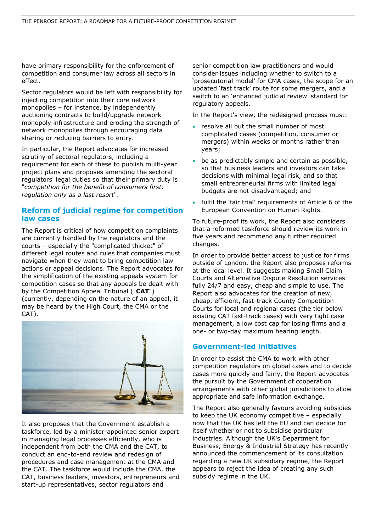have primary responsibility for the enforcement of competition and consumer law across all sectors in effect.

Sector regulators would be left with responsibility for injecting competition into their core network monopolies – for instance, by independently auctioning contracts to build/upgrade network monopoly infrastructure and eroding the strength of network monopolies through encouraging data sharing or reducing barriers to entry.

In particular, the Report advocates for increased scrutiny of sectoral regulators, including a requirement for each of these to publish multi-year project plans and proposes amending the sectoral regulators' legal duties so that their primary duty is "*competition for the benefit of consumers first; regulation only as a last resort*".

## **Reform of judicial regime for competition law cases**

The Report is critical of how competition complaints are currently handled by the regulators and the courts – especially the "complicated thicket" of different legal routes and rules that companies must navigate when they want to bring competition law actions or appeal decisions. The Report advocates for the simplification of the existing appeals system for competition cases so that any appeals be dealt with by the Competition Appeal Tribunal ("**CAT**") (currently, depending on the nature of an appeal, it may be heard by the High Court, the CMA or the CAT).



It also proposes that the Government establish a taskforce, led by a minister-appointed senior expert in managing legal processes efficiently, who is independent from both the CMA and the CAT, to conduct an end-to-end review and redesign of procedures and case management at the CMA and the CAT. The taskforce would include the CMA, the CAT, business leaders, investors, entrepreneurs and start-up representatives, sector regulators and

senior competition law practitioners and would consider issues including whether to switch to a 'prosecutorial model' for CMA cases, the scope for an updated 'fast track' route for some mergers, and a switch to an 'enhanced judicial review' standard for regulatory appeals.

In the Report's view, the redesigned process must:

- resolve all but the small number of most complicated cases (competition, consumer or mergers) within weeks or months rather than years;
- be as predictably simple and certain as possible, so that business leaders and investors can take decisions with minimal legal risk, and so that small entrepreneurial firms with limited legal budgets are not disadvantaged; and
- fulfil the 'fair trial' requirements of Article 6 of the European Convention on Human Rights.

To future-proof its work, the Report also considers that a reformed taskforce should review its work in five years and recommend any further required changes.

In order to provide better access to justice for firms outside of London, the Report also proposes reforms at the local level. It suggests making Small Claim Courts and Alternative Dispute Resolution services fully 24/7 and easy, cheap and simple to use. The Report also advocates for the creation of new, cheap, efficient, fast-track County Competition Courts for local and regional cases (the tier below existing CAT fast-track cases) with very tight case management, a low cost cap for losing firms and a one- or two-day maximum hearing length.

### **Government-led initiatives**

In order to assist the CMA to work with other competition regulators on global cases and to decide cases more quickly and fairly, the Report advocates the pursuit by the Government of cooperation arrangements with other global jurisdictions to allow appropriate and safe information exchange.

The Report also generally favours avoiding subsidies to keep the UK economy competitive – especially now that the UK has left the EU and can decide for itself whether or not to subsidise particular industries. Although the UK's Department for Business, Energy & Industrial Strategy has recently announced the commencement of its consultation regarding a new UK subsidiary regime, the Report appears to reject the idea of creating any such subsidy regime in the UK.